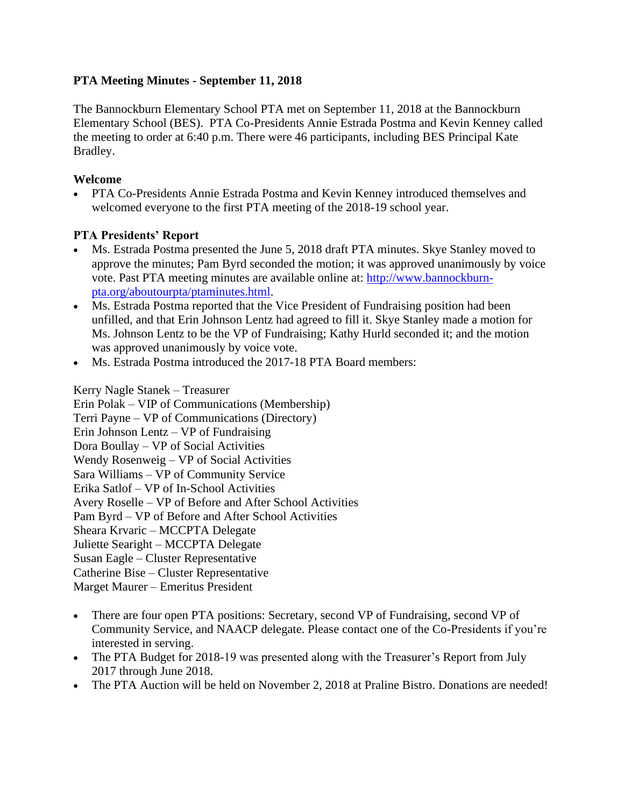# **PTA Meeting Minutes - September 11, 2018**

The Bannockburn Elementary School PTA met on September 11, 2018 at the Bannockburn Elementary School (BES). PTA Co-Presidents Annie Estrada Postma and Kevin Kenney called the meeting to order at 6:40 p.m. There were 46 participants, including BES Principal Kate Bradley.

# **Welcome**

• PTA Co-Presidents Annie Estrada Postma and Kevin Kenney introduced themselves and welcomed everyone to the first PTA meeting of the 2018-19 school year.

# **PTA Presidents' Report**

- Ms. Estrada Postma presented the June 5, 2018 draft PTA minutes. Skye Stanley moved to approve the minutes; Pam Byrd seconded the motion; it was approved unanimously by voice vote. Past PTA meeting minutes are available online at: [http://www.bannockburn](http://www.bannockburn-pta.org/aboutourpta/ptaminutes.html)[pta.org/aboutourpta/ptaminutes.html.](http://www.bannockburn-pta.org/aboutourpta/ptaminutes.html)
- Ms. Estrada Postma reported that the Vice President of Fundraising position had been unfilled, and that Erin Johnson Lentz had agreed to fill it. Skye Stanley made a motion for Ms. Johnson Lentz to be the VP of Fundraising; Kathy Hurld seconded it; and the motion was approved unanimously by voice vote.
- Ms. Estrada Postma introduced the 2017-18 PTA Board members:

Kerry Nagle Stanek – Treasurer

Erin Polak – VIP of Communications (Membership)

Terri Payne – VP of Communications (Directory)

Erin Johnson Lentz – VP of Fundraising

Dora Boullay – VP of Social Activities

Wendy Rosenweig – VP of Social Activities

Sara Williams – VP of Community Service

Erika Satlof – VP of In-School Activities

Avery Roselle – VP of Before and After School Activities

Pam Byrd – VP of Before and After School Activities

Sheara Krvaric – MCCPTA Delegate

Juliette Searight – MCCPTA Delegate

Susan Eagle – Cluster Representative

Catherine Bise – Cluster Representative

Marget Maurer – Emeritus President

- There are four open PTA positions: Secretary, second VP of Fundraising, second VP of Community Service, and NAACP delegate. Please contact one of the Co-Presidents if you're interested in serving.
- The PTA Budget for 2018-19 was presented along with the Treasurer's Report from July 2017 through June 2018.
- The PTA Auction will be held on November 2, 2018 at Praline Bistro. Donations are needed!